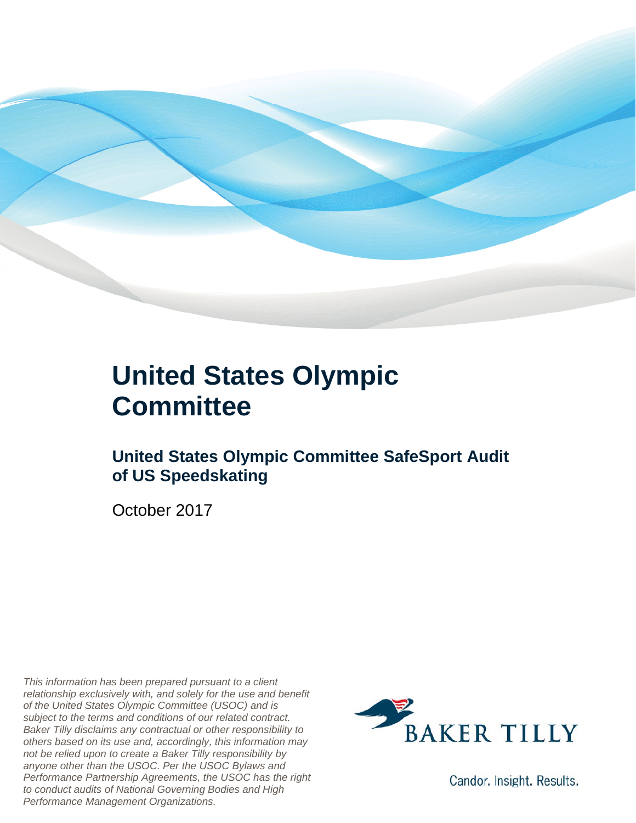

### **United States Olympic Committee**

### **United States Olympic Committee SafeSport Audit of US Speedskating**

October 2017

*This information has been prepared pursuant to a client relationship exclusively with, and solely for the use and benefit of the United States Olympic Committee (USOC) and is subject to the terms and conditions of our related contract. Baker Tilly disclaims any contractual or other responsibility to others based on its use and, accordingly, this information may not be relied upon to create a Baker Tilly responsibility by anyone other than the USOC. Per the USOC Bylaws and Performance Partnership Agreements, the USOC has the right to conduct audits of National Governing Bodies and High Performance Management Organizations.*



Candor. Insight. Results.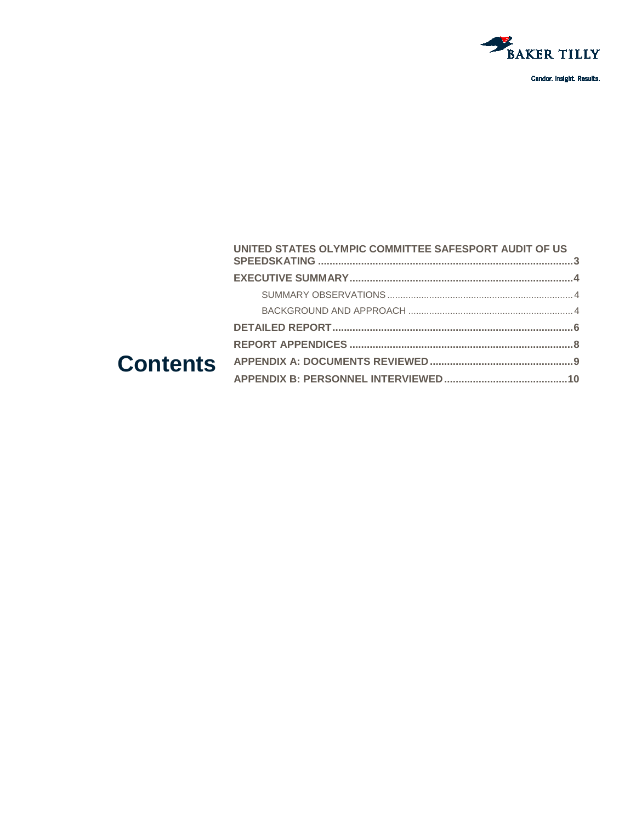

#### UNITED STATES OLYMPIC COMMITTEE SAFESPORT AUDIT OF US **Contents**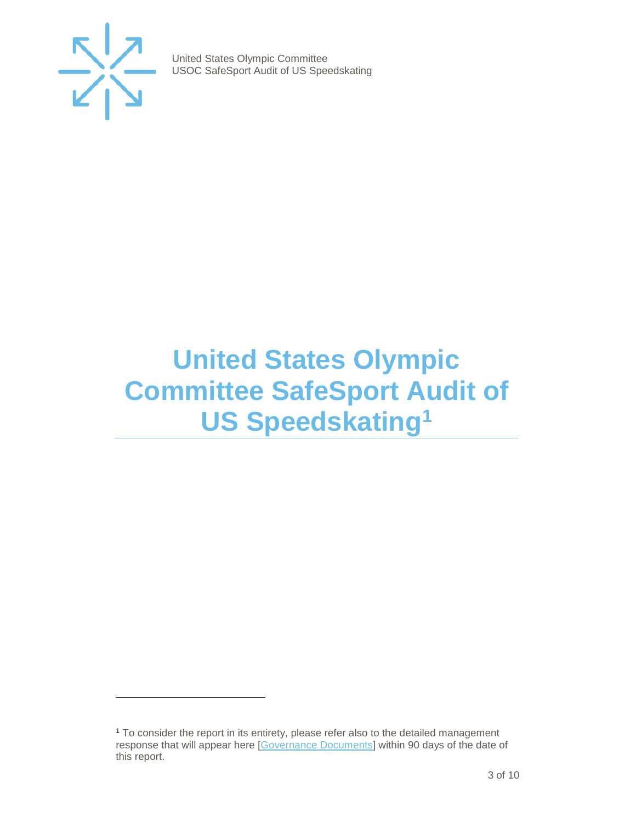

j

United States Olympic Committee USOC SafeSport Audit of US Speedskating

### <span id="page-2-0"></span>**United States Olympic Committee SafeSport Audit of US Speedskating[1](#page-2-1)**

<span id="page-2-1"></span><sup>&</sup>lt;sup>1</sup> To consider the report in its entirety, please refer also to the detailed management response that will appear here [\[Governance Documents\]](https://www.teamusa.org/Footer/Legal/Governance-Documents) within 90 days of the date of this report.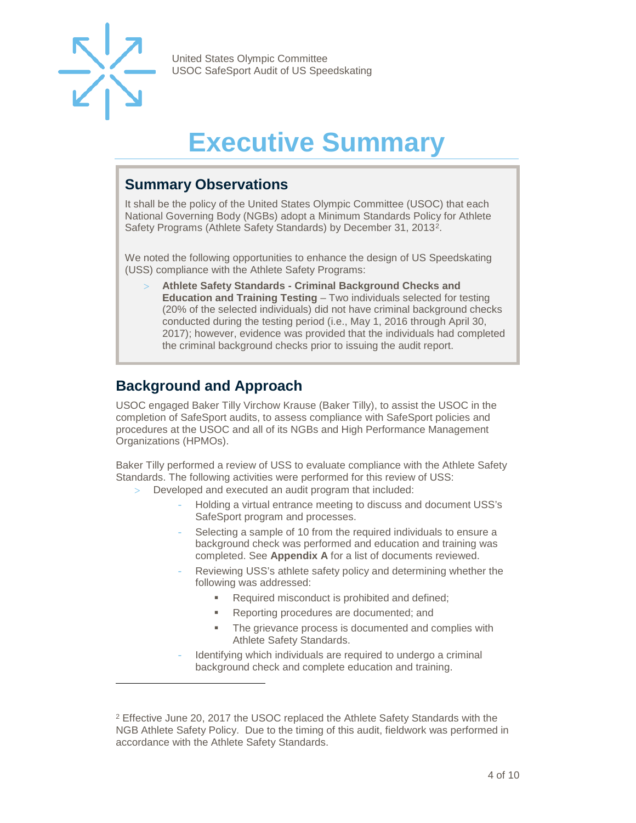

-

United States Olympic Committee USOC SafeSport Audit of US Speedskating

## **Executive Summary**

#### <span id="page-3-1"></span><span id="page-3-0"></span>**Summary Observations**

It shall be the policy of the United States Olympic Committee (USOC) that each National Governing Body (NGBs) adopt a Minimum Standards Policy for Athlete Safety Programs (Athlete Safety Standards) by December 31, 2013[2](#page-3-3).

We noted the following opportunities to enhance the design of US Speedskating (USS) compliance with the Athlete Safety Programs:

> **Athlete Safety Standards - Criminal Background Checks and Education and Training Testing** – Two individuals selected for testing (20% of the selected individuals) did not have criminal background checks conducted during the testing period (i.e., May 1, 2016 through April 30, 2017); however, evidence was provided that the individuals had completed the criminal background checks prior to issuing the audit report.

### <span id="page-3-2"></span>**Background and Approach**

USOC engaged Baker Tilly Virchow Krause (Baker Tilly), to assist the USOC in the completion of SafeSport audits, to assess compliance with SafeSport policies and procedures at the USOC and all of its NGBs and High Performance Management Organizations (HPMOs).

Baker Tilly performed a review of USS to evaluate compliance with the Athlete Safety Standards. The following activities were performed for this review of USS:

- Developed and executed an audit program that included:
	- Holding a virtual entrance meeting to discuss and document USS's SafeSport program and processes.
	- Selecting a sample of 10 from the required individuals to ensure a background check was performed and education and training was completed. See **Appendix A** for a list of documents reviewed.
	- Reviewing USS's athlete safety policy and determining whether the following was addressed:
		- Required misconduct is prohibited and defined;
		- **Reporting procedures are documented; and**
		- **The grievance process is documented and complies with** Athlete Safety Standards.
	- Identifying which individuals are required to undergo a criminal background check and complete education and training.

<span id="page-3-3"></span><sup>2</sup> Effective June 20, 2017 the USOC replaced the Athlete Safety Standards with the NGB Athlete Safety Policy. Due to the timing of this audit, fieldwork was performed in accordance with the Athlete Safety Standards.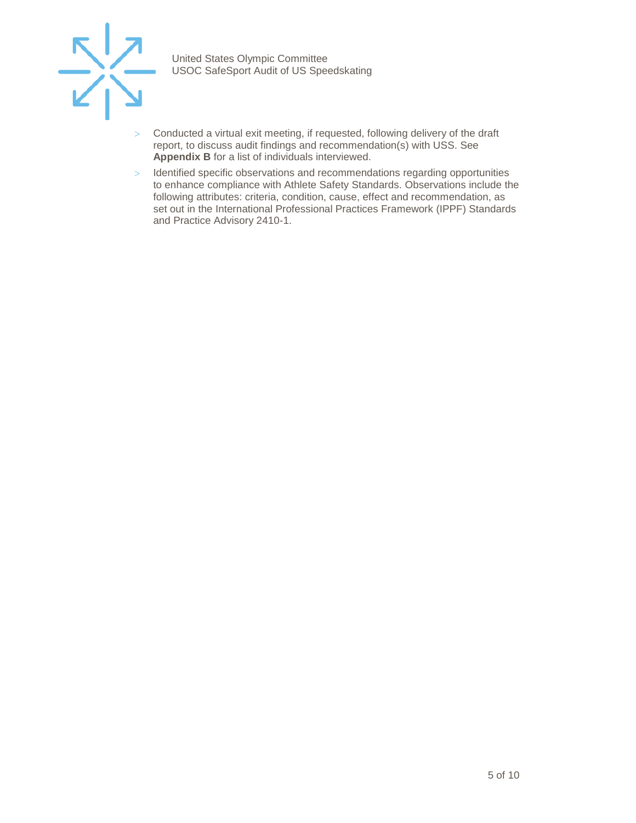

- $>$  Conducted a virtual exit meeting, if requested, following delivery of the draft report, to discuss audit findings and recommendation(s) with USS. See **Appendix B** for a list of individuals interviewed.
- > Identified specific observations and recommendations regarding opportunities to enhance compliance with Athlete Safety Standards. Observations include the following attributes: criteria, condition, cause, effect and recommendation, as set out in the International Professional Practices Framework (IPPF) Standards and Practice Advisory 2410-1.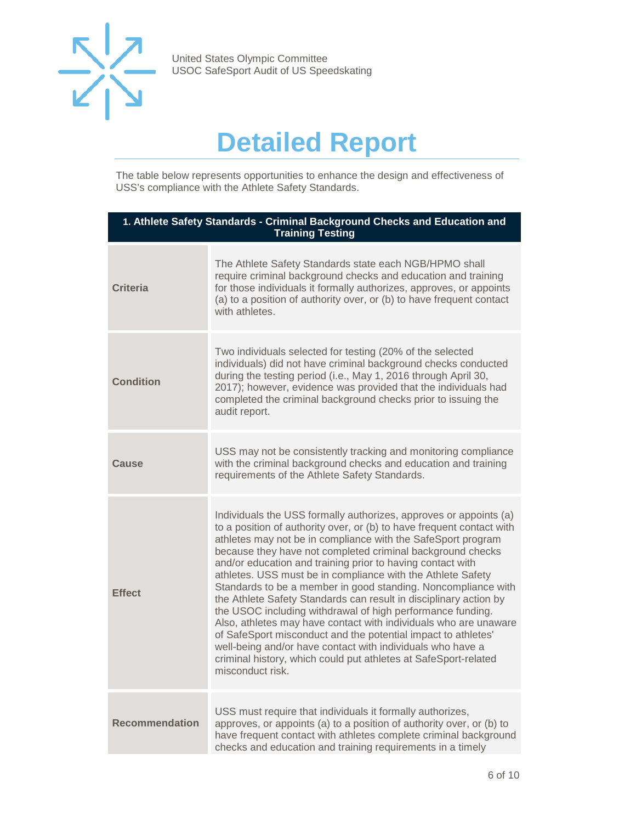

## **Detailed Report**

<span id="page-5-0"></span>The table below represents opportunities to enhance the design and effectiveness of USS's compliance with the Athlete Safety Standards.

| 1. Athlete Safety Standards - Criminal Background Checks and Education and<br><b>Training Testing</b> |                                                                                                                                                                                                                                                                                                                                                                                                                                                                                                                                                                                                                                                                                                                                                                                                                                                                                                     |
|-------------------------------------------------------------------------------------------------------|-----------------------------------------------------------------------------------------------------------------------------------------------------------------------------------------------------------------------------------------------------------------------------------------------------------------------------------------------------------------------------------------------------------------------------------------------------------------------------------------------------------------------------------------------------------------------------------------------------------------------------------------------------------------------------------------------------------------------------------------------------------------------------------------------------------------------------------------------------------------------------------------------------|
| <b>Criteria</b>                                                                                       | The Athlete Safety Standards state each NGB/HPMO shall<br>require criminal background checks and education and training<br>for those individuals it formally authorizes, approves, or appoints<br>(a) to a position of authority over, or (b) to have frequent contact<br>with athletes.                                                                                                                                                                                                                                                                                                                                                                                                                                                                                                                                                                                                            |
| <b>Condition</b>                                                                                      | Two individuals selected for testing (20% of the selected<br>individuals) did not have criminal background checks conducted<br>during the testing period (i.e., May 1, 2016 through April 30,<br>2017); however, evidence was provided that the individuals had<br>completed the criminal background checks prior to issuing the<br>audit report.                                                                                                                                                                                                                                                                                                                                                                                                                                                                                                                                                   |
| Cause                                                                                                 | USS may not be consistently tracking and monitoring compliance<br>with the criminal background checks and education and training<br>requirements of the Athlete Safety Standards.                                                                                                                                                                                                                                                                                                                                                                                                                                                                                                                                                                                                                                                                                                                   |
| <b>Effect</b>                                                                                         | Individuals the USS formally authorizes, approves or appoints (a)<br>to a position of authority over, or (b) to have frequent contact with<br>athletes may not be in compliance with the SafeSport program<br>because they have not completed criminal background checks<br>and/or education and training prior to having contact with<br>athletes. USS must be in compliance with the Athlete Safety<br>Standards to be a member in good standing. Noncompliance with<br>the Athlete Safety Standards can result in disciplinary action by<br>the USOC including withdrawal of high performance funding.<br>Also, athletes may have contact with individuals who are unaware<br>of SafeSport misconduct and the potential impact to athletes'<br>well-being and/or have contact with individuals who have a<br>criminal history, which could put athletes at SafeSport-related<br>misconduct risk. |
| <b>Recommendation</b>                                                                                 | USS must require that individuals it formally authorizes,<br>approves, or appoints (a) to a position of authority over, or (b) to<br>have frequent contact with athletes complete criminal background<br>checks and education and training requirements in a timely                                                                                                                                                                                                                                                                                                                                                                                                                                                                                                                                                                                                                                 |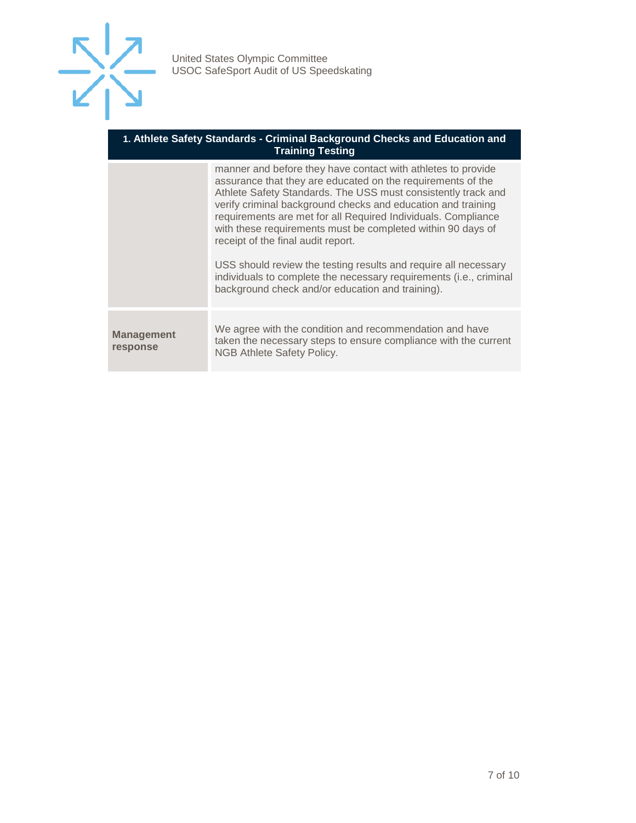

#### **1. Athlete Safety Standards - Criminal Background Checks and Education and Training Testing**

|                        | manner and before they have contact with athletes to provide<br>assurance that they are educated on the requirements of the<br>Athlete Safety Standards. The USS must consistently track and<br>verify criminal background checks and education and training<br>requirements are met for all Required Individuals. Compliance<br>with these requirements must be completed within 90 days of<br>receipt of the final audit report.<br>USS should review the testing results and require all necessary<br>individuals to complete the necessary requirements (i.e., criminal<br>background check and/or education and training). |
|------------------------|---------------------------------------------------------------------------------------------------------------------------------------------------------------------------------------------------------------------------------------------------------------------------------------------------------------------------------------------------------------------------------------------------------------------------------------------------------------------------------------------------------------------------------------------------------------------------------------------------------------------------------|
| Management<br>response | We agree with the condition and recommendation and have<br>taken the necessary steps to ensure compliance with the current<br>NGB Athlete Safety Policy.                                                                                                                                                                                                                                                                                                                                                                                                                                                                        |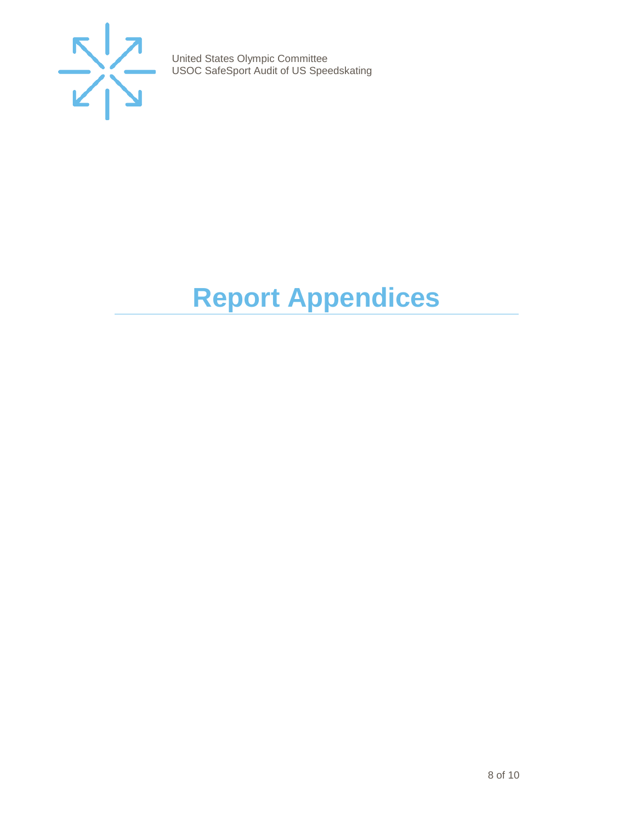

# <span id="page-7-0"></span>**Report Appendices**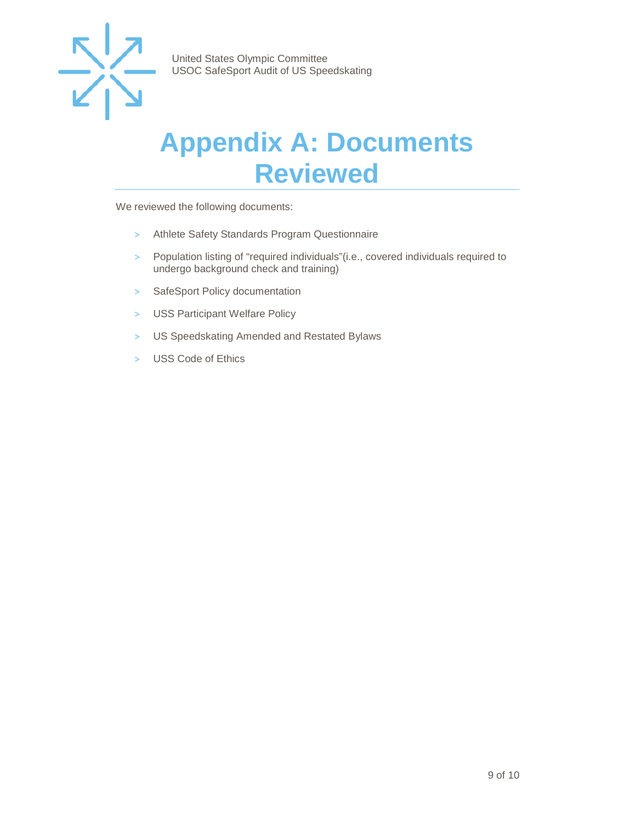

### <span id="page-8-0"></span>**Appendix A: Documents Reviewed**

We reviewed the following documents:

- > Athlete Safety Standards Program Questionnaire
- > Population listing of "required individuals"(i.e., covered individuals required to undergo background check and training)
- > SafeSport Policy documentation
- > USS Participant Welfare Policy
- > US Speedskating Amended and Restated Bylaws
- > USS Code of Ethics